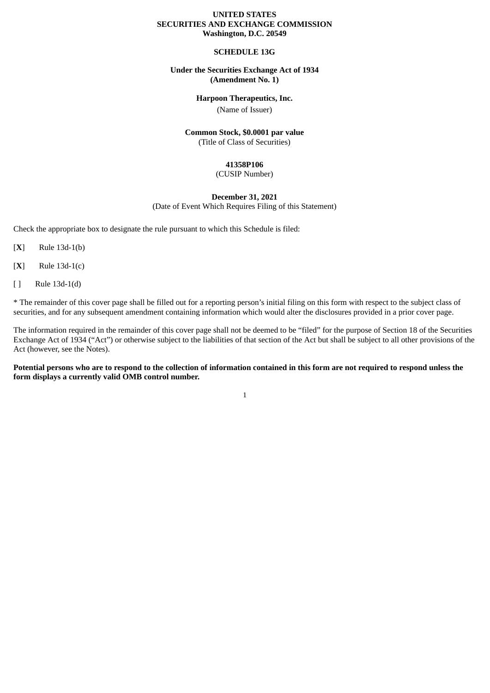#### **UNITED STATES SECURITIES AND EXCHANGE COMMISSION Washington, D.C. 20549**

## **SCHEDULE 13G**

## **Under the Securities Exchange Act of 1934 (Amendment No. 1)**

#### **Harpoon Therapeutics, Inc.**

(Name of Issuer)

### **Common Stock, \$0.0001 par value** (Title of Class of Securities)

# **41358P106**

### (CUSIP Number)

### **December 31, 2021**

(Date of Event Which Requires Filing of this Statement)

Check the appropriate box to designate the rule pursuant to which this Schedule is filed:

- [**X**] Rule 13d-1(b)
- [**X**] Rule 13d-1(c)
- [ ] Rule 13d-1(d)

\* The remainder of this cover page shall be filled out for a reporting person's initial filing on this form with respect to the subject class of securities, and for any subsequent amendment containing information which would alter the disclosures provided in a prior cover page.

The information required in the remainder of this cover page shall not be deemed to be "filed" for the purpose of Section 18 of the Securities Exchange Act of 1934 ("Act") or otherwise subject to the liabilities of that section of the Act but shall be subject to all other provisions of the Act (however, see the Notes).

Potential persons who are to respond to the collection of information contained in this form are not required to respond unless the **form displays a currently valid OMB control number.**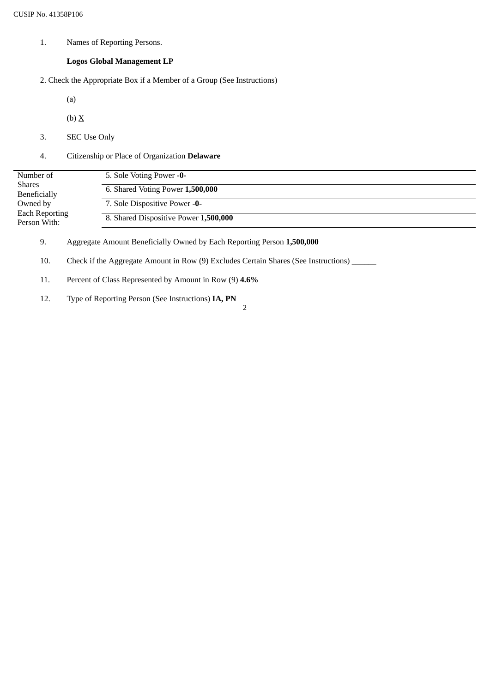### **Logos Global Management LP**

2. Check the Appropriate Box if a Member of a Group (See Instructions)

(a)

(b)  $\underline{X}$ 

- 3. SEC Use Only
- 4. Citizenship or Place of Organization **Delaware**

| Number of                             | 5. Sole Voting Power -0-              |
|---------------------------------------|---------------------------------------|
| Shares<br>Beneficially                | 6. Shared Voting Power 1,500,000      |
| Owned by                              | 7. Sole Dispositive Power -0-         |
| <b>Each Reporting</b><br>Person With: | 8. Shared Dispositive Power 1,500,000 |
|                                       |                                       |

2

9. Aggregate Amount Beneficially Owned by Each Reporting Person **1,500,000**

10. Check if the Aggregate Amount in Row (9) Excludes Certain Shares (See Instructions) **\_\_\_\_\_\_**

- 11. Percent of Class Represented by Amount in Row (9) **4.6%**
- 12. Type of Reporting Person (See Instructions) **IA, PN**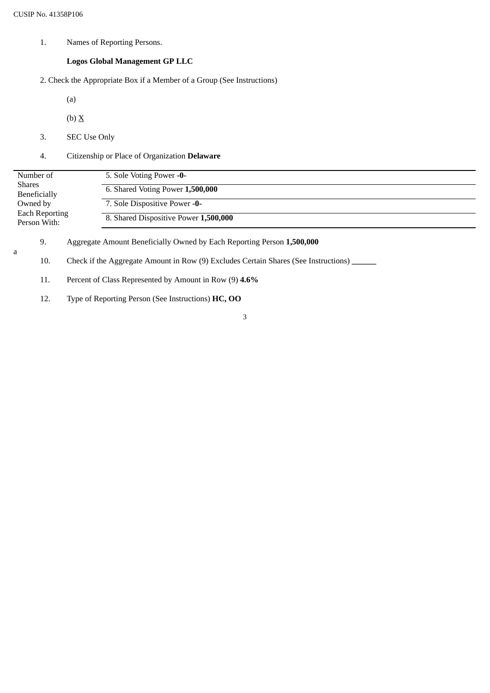a

1. Names of Reporting Persons.

# **Logos Global Management GP LLC**

2. Check the Appropriate Box if a Member of a Group (See Instructions)

(a)

- (b)  $\underline{X}$
- 3. SEC Use Only
- 4. Citizenship or Place of Organization **Delaware**

| Number of                             | 5. Sole Voting Power -0-              |
|---------------------------------------|---------------------------------------|
| Shares<br>Beneficially                | 6. Shared Voting Power 1,500,000      |
| Owned by                              | 7. Sole Dispositive Power -0-         |
| <b>Each Reporting</b><br>Person With: | 8. Shared Dispositive Power 1,500,000 |

- 9. Aggregate Amount Beneficially Owned by Each Reporting Person **1,500,000**
- 10. Check if the Aggregate Amount in Row (9) Excludes Certain Shares (See Instructions) **\_\_\_\_\_\_**
- 11. Percent of Class Represented by Amount in Row (9) **4.6%**
- 12. Type of Reporting Person (See Instructions) **HC, OO**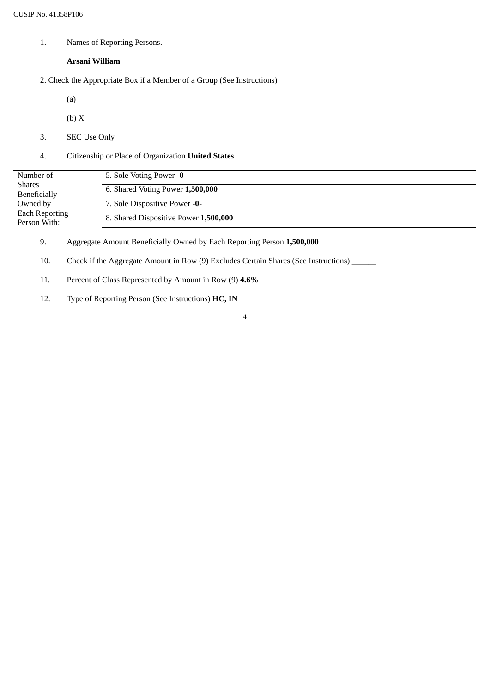### **Arsani William**

2. Check the Appropriate Box if a Member of a Group (See Instructions)

(a)

(b)  $\underline{X}$ 

- 3. SEC Use Only
- 4. Citizenship or Place of Organization **United States**

| Number of                         | 5. Sole Voting Power -0-              |
|-----------------------------------|---------------------------------------|
| Shares<br>Beneficially            | 6. Shared Voting Power 1,500,000      |
| Owned by<br><b>Each Reporting</b> | 7. Sole Dispositive Power -0-         |
| Person With:                      | 8. Shared Dispositive Power 1,500,000 |

9. Aggregate Amount Beneficially Owned by Each Reporting Person **1,500,000**

10. Check if the Aggregate Amount in Row (9) Excludes Certain Shares (See Instructions) **\_\_\_\_\_\_**

- 11. Percent of Class Represented by Amount in Row (9) **4.6%**
- 12. Type of Reporting Person (See Instructions) **HC, IN**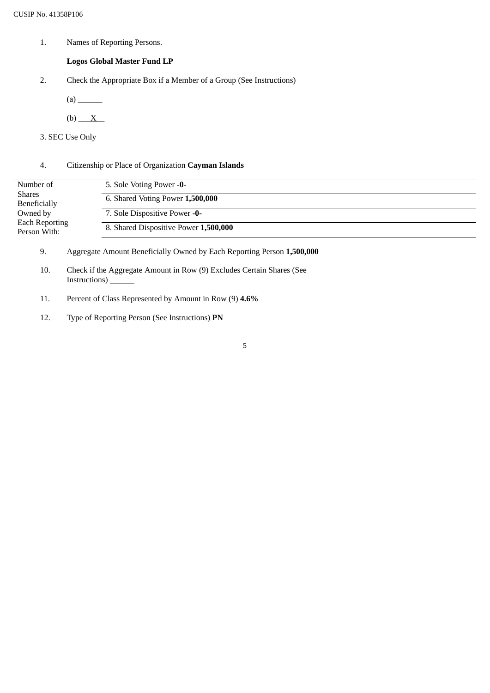## **Logos Global Master Fund LP**

- 2. Check the Appropriate Box if a Member of a Group (See Instructions)
	- (a) \_\_\_\_\_\_
	- $(b)$   $X$
- 3. SEC Use Only

# 4. Citizenship or Place of Organization **Cayman Islands**

| Number of                             | 5. Sole Voting Power -0-              |
|---------------------------------------|---------------------------------------|
| <b>Shares</b><br>Beneficially         | 6. Shared Voting Power 1,500,000      |
| Owned by                              | 7. Sole Dispositive Power -0-         |
| <b>Each Reporting</b><br>Person With: | 8. Shared Dispositive Power 1,500,000 |

- 9. Aggregate Amount Beneficially Owned by Each Reporting Person **1,500,000**
- 10. Check if the Aggregate Amount in Row (9) Excludes Certain Shares (See Instructions) **\_\_\_\_\_\_**
- 11. Percent of Class Represented by Amount in Row (9) **4.6%**
- 12. Type of Reporting Person (See Instructions) **PN**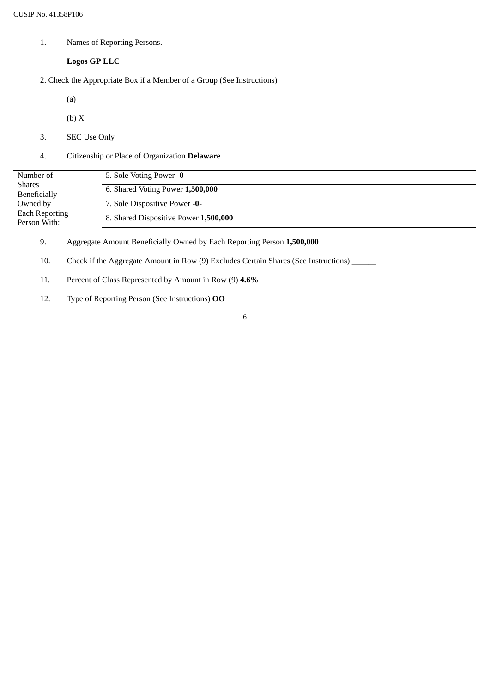**Logos GP LLC**

2. Check the Appropriate Box if a Member of a Group (See Instructions)

(a)

(b)  $\underline{X}$ 

- 3. SEC Use Only
- 4. Citizenship or Place of Organization **Delaware**

| Number of                             | 5. Sole Voting Power -0-              |
|---------------------------------------|---------------------------------------|
| <b>Shares</b><br><b>Beneficially</b>  | 6. Shared Voting Power 1,500,000      |
| Owned by                              | 7. Sole Dispositive Power -0-         |
| <b>Each Reporting</b><br>Person With: | 8. Shared Dispositive Power 1,500,000 |

9. Aggregate Amount Beneficially Owned by Each Reporting Person **1,500,000**

10. Check if the Aggregate Amount in Row (9) Excludes Certain Shares (See Instructions) **\_\_\_\_\_\_**

- 11. Percent of Class Represented by Amount in Row (9) **4.6%**
- 12. Type of Reporting Person (See Instructions) **OO**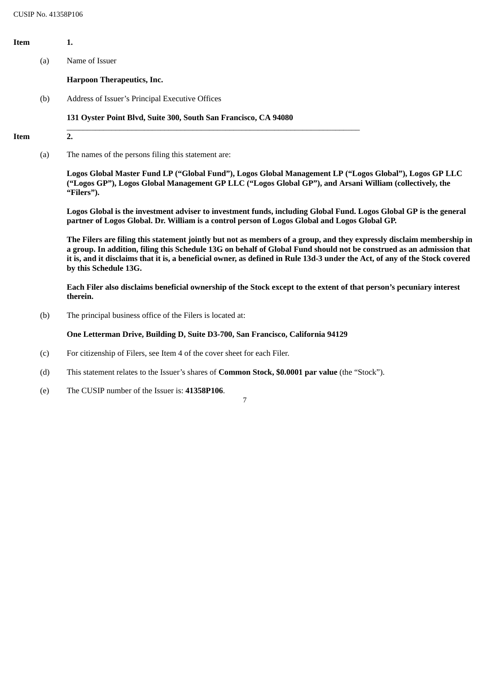| Item        |     | 1.                                                                                                                                                                                                                              |
|-------------|-----|---------------------------------------------------------------------------------------------------------------------------------------------------------------------------------------------------------------------------------|
|             | (a) | Name of Issuer                                                                                                                                                                                                                  |
|             |     | <b>Harpoon Therapeutics, Inc.</b>                                                                                                                                                                                               |
|             | (b) | Address of Issuer's Principal Executive Offices                                                                                                                                                                                 |
|             |     | 131 Oyster Point Blvd, Suite 300, South San Francisco, CA 94080                                                                                                                                                                 |
| <b>Item</b> |     | 2.                                                                                                                                                                                                                              |
|             | (a) | The names of the persons filing this statement are:                                                                                                                                                                             |
|             |     | Logos Global Master Fund LP ("Global Fund"), Logos Global Management LP ("Logos Global"), Logos GP LLC<br>("Logos GP"), Logos Global Management GP LLC ("Logos Global GP"), and Arsani William (collectively, the<br>"Filers"). |

Logos Global is the investment adviser to investment funds, including Global Fund. Logos Global GP is the general **partner of Logos Global. Dr. William is a control person of Logos Global and Logos Global GP.**

The Filers are filing this statement jointly but not as members of a group, and they expressly disclaim membership in a group. In addition, filing this Schedule 13G on behalf of Global Fund should not be construed as an admission that it is, and it disclaims that it is, a beneficial owner, as defined in Rule 13d-3 under the Act, of any of the Stock covered **by this Schedule 13G.**

Each Filer also disclaims beneficial ownership of the Stock except to the extent of that person's pecuniary interest **therein.**

(b) The principal business office of the Filers is located at:

#### **One Letterman Drive, Building D, Suite D3-700, San Francisco, California 94129**

- (c) For citizenship of Filers, see Item 4 of the cover sheet for each Filer.
- (d) This statement relates to the Issuer's shares of **Common Stock, \$0.0001 par value** (the "Stock").
- (e) The CUSIP number of the Issuer is: **41358P106**.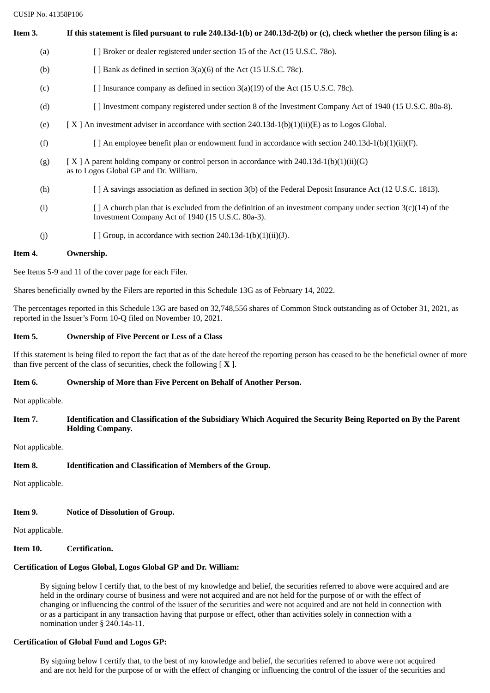CUSIP No. 41358P106

| Item 3. | If this statement is filed pursuant to rule $240.13d-1(b)$ or $240.13d-2(b)$ or (c), check whether the person filing is a:                                              |
|---------|-------------------------------------------------------------------------------------------------------------------------------------------------------------------------|
| (a)     | [ ] Broker or dealer registered under section 15 of the Act (15 U.S.C. 780).                                                                                            |
| (b)     | [ ] Bank as defined in section $3(a)(6)$ of the Act (15 U.S.C. 78c).                                                                                                    |
| (c)     | [ ] Insurance company as defined in section 3(a)(19) of the Act (15 U.S.C. 78c).                                                                                        |
| (d)     | [ ] Investment company registered under section 8 of the Investment Company Act of 1940 (15 U.S.C. 80a-8).                                                              |
| (e)     | [X] An investment adviser in accordance with section 240.13d-1(b)(1)(ii)(E) as to Logos Global.                                                                         |
| (f)     | [ ] An employee benefit plan or endowment fund in accordance with section 240.13d-1(b)(1)(ii)(F).                                                                       |
| (g)     | [X] A parent holding company or control person in accordance with $240.13d-1(b)(1)(ii)(G)$<br>as to Logos Global GP and Dr. William.                                    |
| (h)     | [ ] A savings association as defined in section 3(b) of the Federal Deposit Insurance Act (12 U.S.C. 1813).                                                             |
| (i)     | $\lceil$ A church plan that is excluded from the definition of an investment company under section 3(c)(14) of the<br>Investment Company Act of 1940 (15 U.S.C. 80a-3). |
| (j)     | [ ] Group, in accordance with section $240.13d-1(b)(1)(ii)(J)$ .                                                                                                        |
|         |                                                                                                                                                                         |

# **Item 4. Ownership.**

See Items 5-9 and 11 of the cover page for each Filer.

Shares beneficially owned by the Filers are reported in this Schedule 13G as of February 14, 2022.

The percentages reported in this Schedule 13G are based on 32,748,556 shares of Common Stock outstanding as of October 31, 2021, as reported in the Issuer's Form 10-Q filed on November 10, 2021.

# **Item 5. Ownership of Five Percent or Less of a Class**

If this statement is being filed to report the fact that as of the date hereof the reporting person has ceased to be the beneficial owner of more than five percent of the class of securities, check the following [ **X** ].

# **Item 6. Ownership of More than Five Percent on Behalf of Another Person.**

Not applicable.

Item 7. Identification and Classification of the Subsidiary Which Acquired the Security Being Reported on By the Parent **Holding Company.**

Not applicable.

# **Item 8. Identification and Classification of Members of the Group.**

Not applicable.

# **Item 9. Notice of Dissolution of Group.**

Not applicable.

**Item 10. Certification.**

# **Certification of Logos Global, Logos Global GP and Dr. William:**

By signing below I certify that, to the best of my knowledge and belief, the securities referred to above were acquired and are held in the ordinary course of business and were not acquired and are not held for the purpose of or with the effect of changing or influencing the control of the issuer of the securities and were not acquired and are not held in connection with or as a participant in any transaction having that purpose or effect, other than activities solely in connection with a nomination under § 240.14a-11.

# **Certification of Global Fund and Logos GP:**

By signing below I certify that, to the best of my knowledge and belief, the securities referred to above were not acquired and are not held for the purpose of or with the effect of changing or influencing the control of the issuer of the securities and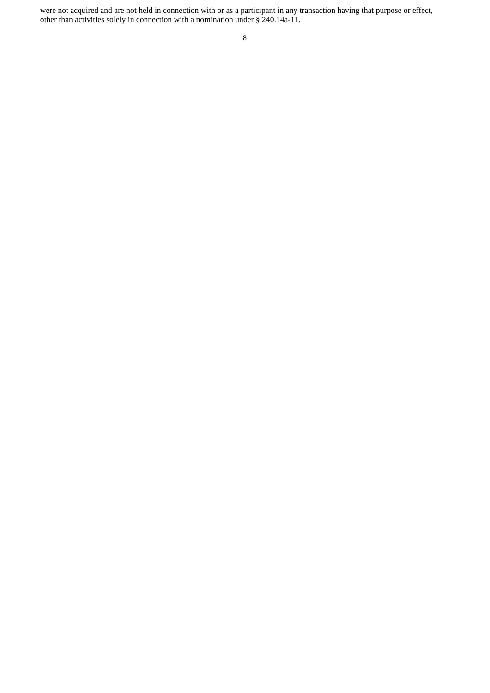were not acquired and are not held in connection with or as a participant in any transaction having that purpose or effect, other than activities solely in connection with a nomination under § 240.14a-11.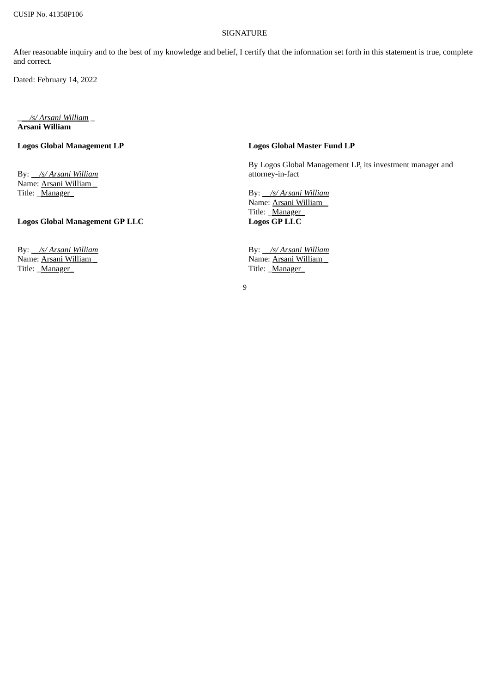### SIGNATURE

After reasonable inquiry and to the best of my knowledge and belief, I certify that the information set forth in this statement is true, complete and correct.

Dated: February 14, 2022

\_*\_\_/s/ Arsani William* \_ **Arsani William**

## **Logos Global Management LP**

By: *\_\_/s/ Arsani William* Name: Arsani William \_ Title: **Manager** 

#### **Logos Global Management GP LLC**

By: *\_\_/s/ Arsani William* Name: Arsani William \_ Title: **Manager** 

### **Logos Global Master Fund LP**

By Logos Global Management LP, its investment manager and attorney-in-fact

By: *\_\_/s/ Arsani William* Name: Arsani William Title: Manager **Logos GP LLC**

By: *\_\_/s/ Arsani William* Name: Arsani William \_ Title: **Manager**